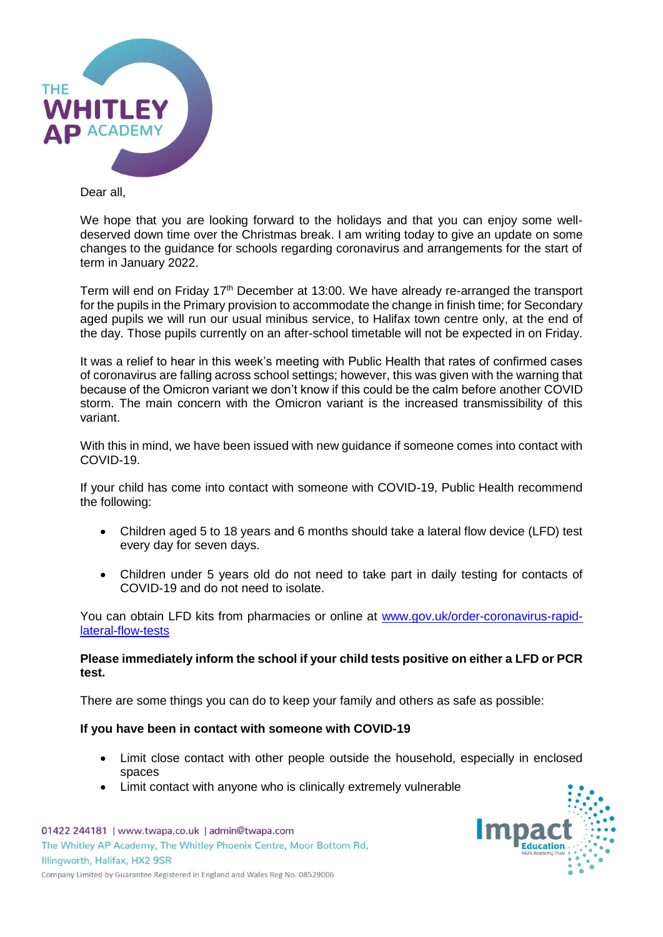

Dear all,

We hope that you are looking forward to the holidays and that you can enjoy some welldeserved down time over the Christmas break. I am writing today to give an update on some changes to the guidance for schools regarding coronavirus and arrangements for the start of term in January 2022.

Term will end on Friday 17<sup>th</sup> December at 13:00. We have already re-arranged the transport for the pupils in the Primary provision to accommodate the change in finish time; for Secondary aged pupils we will run our usual minibus service, to Halifax town centre only, at the end of the day. Those pupils currently on an after-school timetable will not be expected in on Friday.

It was a relief to hear in this week's meeting with Public Health that rates of confirmed cases of coronavirus are falling across school settings; however, this was given with the warning that because of the Omicron variant we don't know if this could be the calm before another COVID storm. The main concern with the Omicron variant is the increased transmissibility of this variant.

With this in mind, we have been issued with new guidance if someone comes into contact with COVID-19.

If your child has come into contact with someone with COVID-19, Public Health recommend the following:

- Children aged 5 to 18 years and 6 months should take a lateral flow device (LFD) test every day for seven days.
- Children under 5 years old do not need to take part in daily testing for contacts of COVID-19 and do not need to isolate.

You can obtain LFD kits from pharmacies or online at [www.gov.uk/order-coronavirus-rapid](http://www.gov.uk/order-coronavirus-rapid-lateral-flow-tests)[lateral-flow-tests](http://www.gov.uk/order-coronavirus-rapid-lateral-flow-tests)

# **Please immediately inform the school if your child tests positive on either a LFD or PCR test.**

There are some things you can do to keep your family and others as safe as possible:

# **If you have been in contact with someone with COVID-19**

- Limit close contact with other people outside the household, especially in enclosed spaces
- Limit contact with anyone who is clinically extremely vulnerable

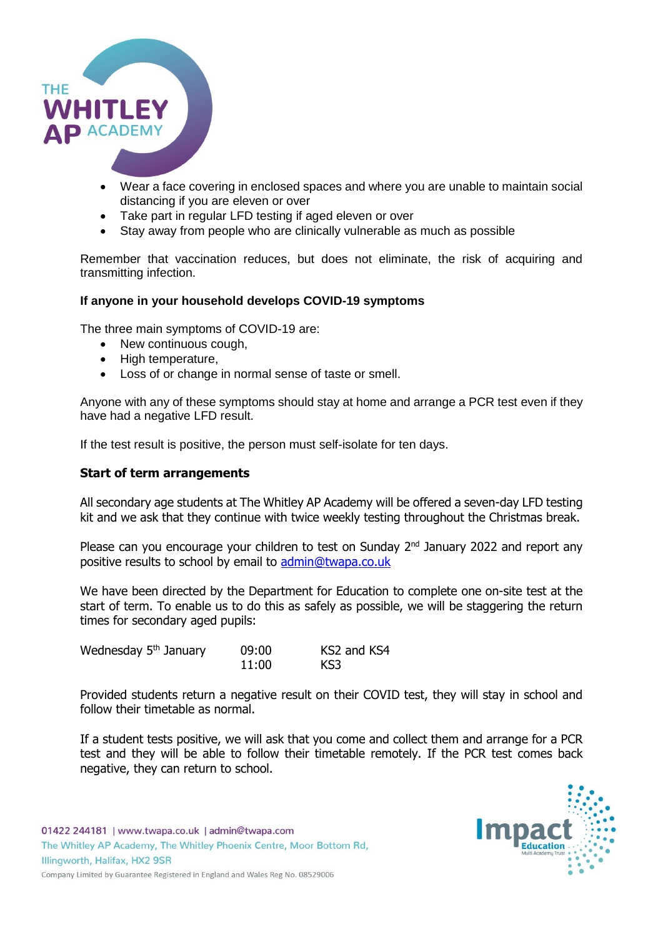

- Wear a face covering in enclosed spaces and where you are unable to maintain social distancing if you are eleven or over
- Take part in regular LFD testing if aged eleven or over
- Stay away from people who are clinically vulnerable as much as possible

Remember that vaccination reduces, but does not eliminate, the risk of acquiring and transmitting infection.

# **If anyone in your household develops COVID-19 symptoms**

The three main symptoms of COVID-19 are:

- New continuous cough,
- High temperature,
- Loss of or change in normal sense of taste or smell.

Anyone with any of these symptoms should stay at home and arrange a PCR test even if they have had a negative LFD result.

If the test result is positive, the person must self-isolate for ten days.

### **Start of term arrangements**

All secondary age students at The Whitley AP Academy will be offered a seven-day LFD testing kit and we ask that they continue with twice weekly testing throughout the Christmas break.

Please can you encourage your children to test on Sunday 2<sup>nd</sup> January 2022 and report any positive results to school by email to [admin@twapa.co.uk](mailto:admin@twapa.co.uk)

We have been directed by the Department for Education to complete one on-site test at the start of term. To enable us to do this as safely as possible, we will be staggering the return times for secondary aged pupils:

| Wednesday 5 <sup>th</sup> January | 09:00 | KS2 and KS4 |
|-----------------------------------|-------|-------------|
|                                   | 11:00 | KS3         |

Provided students return a negative result on their COVID test, they will stay in school and follow their timetable as normal.

If a student tests positive, we will ask that you come and collect them and arrange for a PCR test and they will be able to follow their timetable remotely. If the PCR test comes back negative, they can return to school.